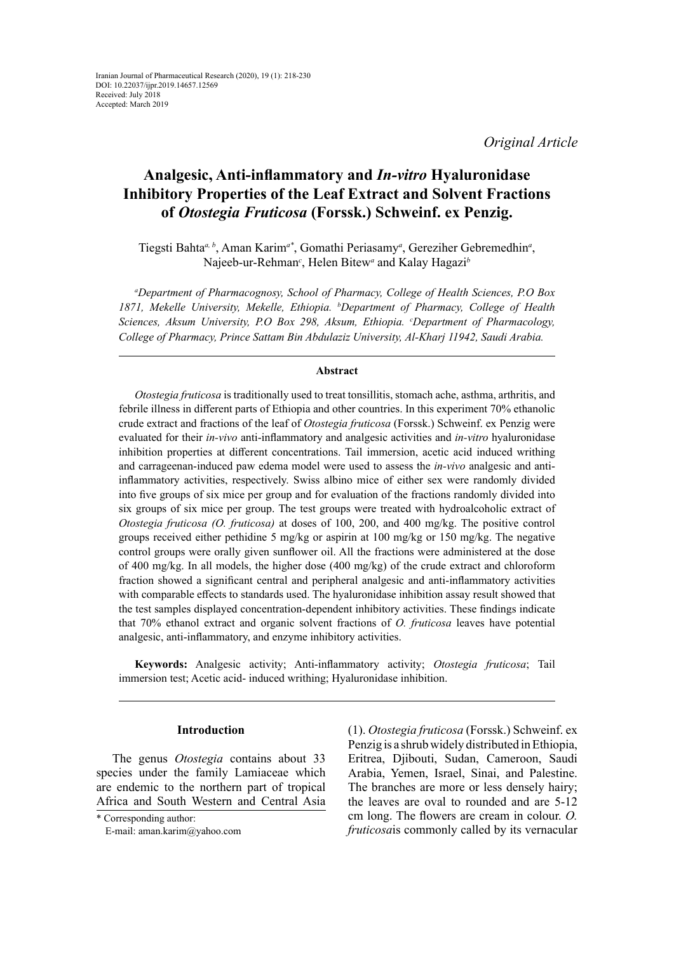*Original Article*

# **Analgesic, Anti-inflammatory and** *In-vitro* **Hyaluronidase Inhibitory Properties of the Leaf Extract and Solvent Fractions of** *Otostegia Fruticosa* **(Forssk.) Schweinf. ex Penzig.**

Tiegsti Bahta*a, b*, Aman Karim*a\**, Gomathi Periasamy*<sup>a</sup>* , Gereziher Gebremedhin*<sup>a</sup>* , Najeeb-ur-Rehman*<sup>c</sup>* , Helen Bitew*<sup>a</sup>* and Kalay Hagazi*<sup>b</sup>*

*a Department of Pharmacognosy, School of Pharmacy, College of Health Sciences, P.O Box 1871, Mekelle University, Mekelle, Ethiopia. b Department of Pharmacy, College of Health Sciences, Aksum University, P.O Box 298, Aksum, Ethiopia. c Department of Pharmacology, College of Pharmacy, Prince Sattam Bin Abdulaziz University, Al-Kharj 11942, Saudi Arabia.*

### **Abstract**

*Otostegia fruticosa* is traditionally used to treat tonsillitis, stomach ache, asthma, arthritis, and febrile illness in different parts of Ethiopia and other countries. In this experiment 70% ethanolic crude extract and fractions of the leaf of *Otostegia fruticosa* (Forssk.) Schweinf. ex Penzig were evaluated for their *in-vivo* anti-inflammatory and analgesic activities and *in-vitro* hyaluronidase inhibition properties at different concentrations. Tail immersion, acetic acid induced writhing and carrageenan-induced paw edema model were used to assess the *in-vivo* analgesic and antiinflammatory activities, respectively. Swiss albino mice of either sex were randomly divided into five groups of six mice per group and for evaluation of the fractions randomly divided into six groups of six mice per group. The test groups were treated with hydroalcoholic extract of *Otostegia fruticosa (O. fruticosa)* at doses of 100, 200, and 400 mg/kg. The positive control groups received either pethidine 5 mg/kg or aspirin at 100 mg/kg or 150 mg/kg. The negative control groups were orally given sunflower oil. All the fractions were administered at the dose of 400 mg/kg. In all models, the higher dose (400 mg/kg) of the crude extract and chloroform fraction showed a significant central and peripheral analgesic and anti-inflammatory activities with comparable effects to standards used. The hyaluronidase inhibition assay result showed that the test samples displayed concentration-dependent inhibitory activities. These findings indicate that 70% ethanol extract and organic solvent fractions of *O. fruticosa* leaves have potential analgesic, anti-inflammatory, and enzyme inhibitory activities.

**Keywords:** Analgesic activity; Anti-inflammatory activity; *Otostegia fruticosa*; Tail immersion test; Acetic acid- induced writhing; Hyaluronidase inhibition.

#### **Introduction**

The genus *Otostegia* contains about 33 species under the family Lamiaceae which are endemic to the northern part of tropical Africa and South Western and Central Asia

(1). *Otostegia fruticosa* (Forssk.) Schweinf. ex Penzig is a shrub widely distributed in Ethiopia, Eritrea, Djibouti, Sudan, Cameroon, Saudi Arabia, Yemen, Israel, Sinai, and Palestine. The branches are more or less densely hairy; the leaves are oval to rounded and are 5-12 cm long. The flowers are cream in colour. *O. fruticosa*is commonly called by its vernacular

<sup>\*</sup> Corresponding author:

E-mail: aman.karim@yahoo.com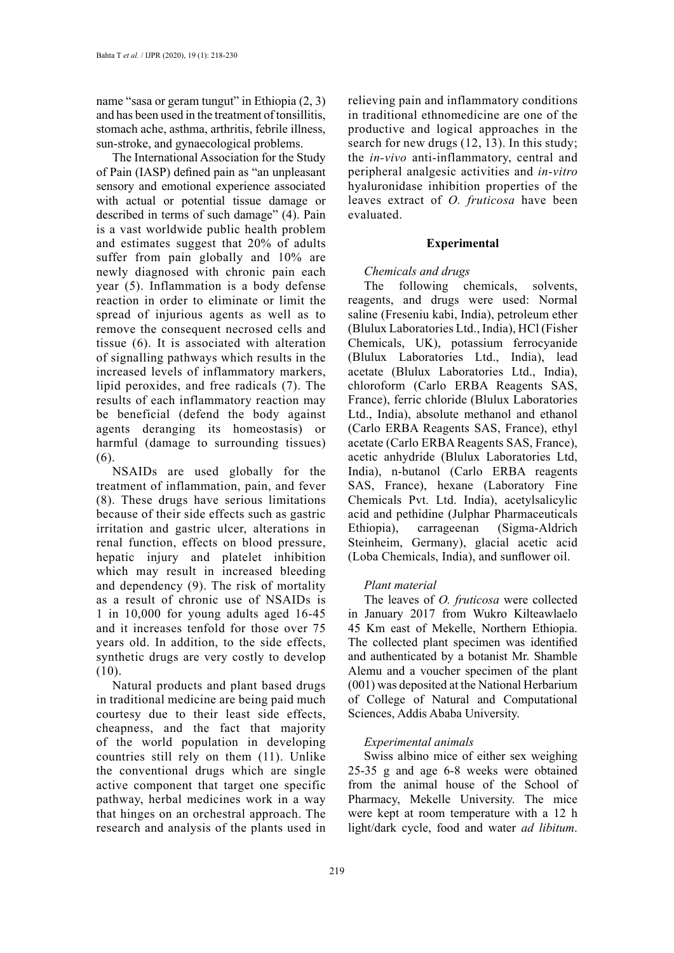name "sasa or geram tungut" in Ethiopia (2, 3) and has been used in the treatment of tonsillitis, stomach ache, asthma, arthritis, febrile illness, sun-stroke, and gynaecological problems.

The International Association for the Study of Pain (IASP) defined pain as "an unpleasant sensory and emotional experience associated with actual or potential tissue damage or described in terms of such damage" (4). Pain is a vast worldwide public health problem and estimates suggest that 20% of adults suffer from pain globally and 10% are newly diagnosed with chronic pain each year (5). Inflammation is a body defense reaction in order to eliminate or limit the spread of injurious agents as well as to remove the consequent necrosed cells and tissue (6). It is associated with alteration of signalling pathways which results in the increased levels of inflammatory markers, lipid peroxides, and free radicals (7). The results of each inflammatory reaction may be beneficial (defend the body against agents deranging its homeostasis) or harmful (damage to surrounding tissues) (6).

NSAIDs are used globally for the treatment of inflammation, pain, and fever (8). These drugs have serious limitations because of their side effects such as gastric irritation and gastric ulcer, alterations in renal function, effects on blood pressure, hepatic injury and platelet inhibition which may result in increased bleeding and dependency (9). The risk of mortality as a result of chronic use of NSAIDs is 1 in 10,000 for young adults aged 16-45 and it increases tenfold for those over 75 years old. In addition, to the side effects, synthetic drugs are very costly to develop (10).

Natural products and plant based drugs in traditional medicine are being paid much courtesy due to their least side effects, cheapness, and the fact that majority of the world population in developing countries still rely on them (11). Unlike the conventional drugs which are single active component that target one specific pathway, herbal medicines work in a way that hinges on an orchestral approach. The research and analysis of the plants used in

relieving pain and inflammatory conditions in traditional ethnomedicine are one of the productive and logical approaches in the search for new drugs (12, 13). In this study; the *in-vivo* anti-inflammatory, central and peripheral analgesic activities and *in-vitro* hyaluronidase inhibition properties of the leaves extract of *O. fruticosa* have been evaluated.

### **Experimental**

### *Chemicals and drugs*

The following chemicals, solvents, reagents, and drugs were used: Normal saline (Freseniu kabi, India), petroleum ether (Blulux Laboratories Ltd., India), HCl (Fisher Chemicals, UK), potassium ferrocyanide (Blulux Laboratories Ltd., India), lead acetate (Blulux Laboratories Ltd., India), chloroform (Carlo ERBA Reagents SAS, France), ferric chloride (Blulux Laboratories Ltd., India), absolute methanol and ethanol (Carlo ERBA Reagents SAS, France), ethyl acetate (Carlo ERBA Reagents SAS, France), acetic anhydride (Blulux Laboratories Ltd, India), n-butanol (Carlo ERBA reagents SAS, France), hexane (Laboratory Fine Chemicals Pvt. Ltd. India), acetylsalicylic acid and pethidine (Julphar Pharmaceuticals Ethiopia), carrageenan (Sigma-Aldrich Steinheim, Germany), glacial acetic acid (Loba Chemicals, India), and sunflower oil.

### *Plant material*

The leaves of *O. fruticosa* were collected in January 2017 from Wukro Kilteawlaelo 45 Km east of Mekelle, Northern Ethiopia. The collected plant specimen was identified and authenticated by a botanist Mr. Shamble Alemu and a voucher specimen of the plant (001) was deposited at the National Herbarium of College of Natural and Computational Sciences, Addis Ababa University.

### *Experimental animals*

Swiss albino mice of either sex weighing 25-35 g and age 6-8 weeks were obtained from the animal house of the School of Pharmacy, Mekelle University. The mice were kept at room temperature with a 12 h light/dark cycle, food and water *ad libitum*.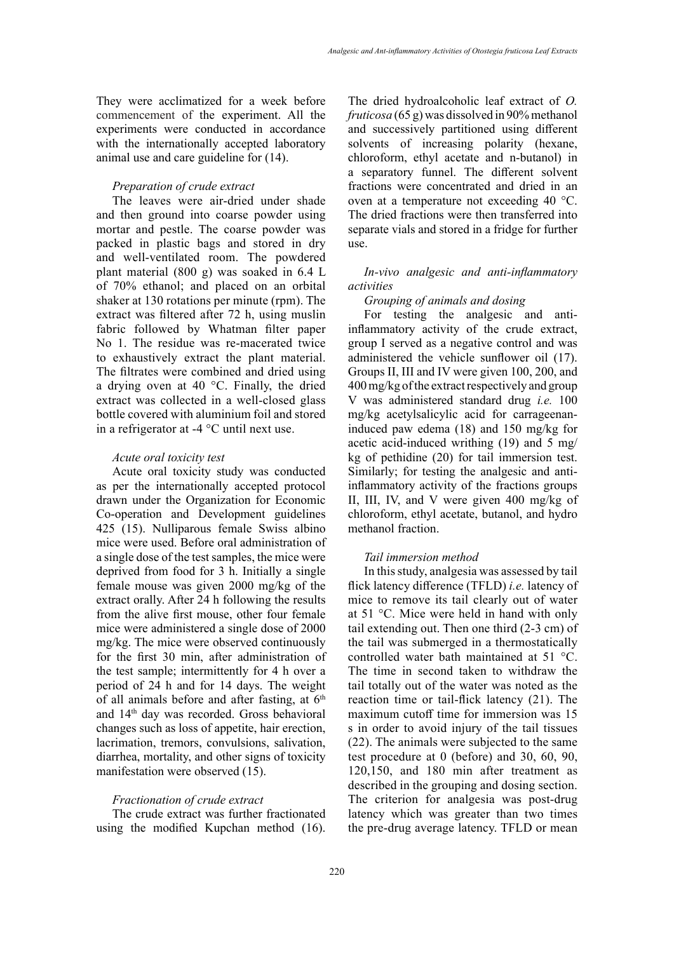They were acclimatized for a week before commencement of the experiment. All the experiments were conducted in accordance with the internationally accepted laboratory animal use and care guideline for (14).

### *Preparation of crude extract*

The leaves were air-dried under shade and then ground into coarse powder using mortar and pestle. The coarse powder was packed in plastic bags and stored in dry and well-ventilated room. The powdered plant material (800 g) was soaked in 6.4 L of 70% ethanol; and placed on an orbital shaker at 130 rotations per minute (rpm). The extract was filtered after 72 h, using muslin fabric followed by Whatman filter paper No 1. The residue was re-macerated twice to exhaustively extract the plant material. The filtrates were combined and dried using a drying oven at 40 °C. Finally, the dried extract was collected in a well-closed glass bottle covered with aluminium foil and stored in a refrigerator at -4 °C until next use.

### *Acute oral toxicity test*

Acute oral toxicity study was conducted as per the internationally accepted protocol drawn under the Organization for Economic Co-operation and Development guidelines 425 (15). Nulliparous female Swiss albino mice were used. Before oral administration of a single dose of the test samples, the mice were deprived from food for 3 h. Initially a single female mouse was given 2000 mg/kg of the extract orally. After 24 h following the results from the alive first mouse, other four female mice were administered a single dose of 2000 mg/kg. The mice were observed continuously for the first 30 min, after administration of the test sample; intermittently for 4 h over a period of 24 h and for 14 days. The weight of all animals before and after fasting, at  $6<sup>th</sup>$ and 14th day was recorded. Gross behavioral changes such as loss of appetite, hair erection, lacrimation, tremors, convulsions, salivation, diarrhea, mortality, and other signs of toxicity manifestation were observed (15).

### *Fractionation of crude extract*

The crude extract was further fractionated using the modified Kupchan method (16).

The dried hydroalcoholic leaf extract of *O. fruticosa* (65 g) was dissolved in 90% methanol and successively partitioned using different solvents of increasing polarity (hexane, chloroform, ethyl acetate and n-butanol) in a separatory funnel. The different solvent fractions were concentrated and dried in an oven at a temperature not exceeding 40 °C. The dried fractions were then transferred into separate vials and stored in a fridge for further use.

## *In-vivo analgesic and anti-inflammatory activities*

#### *Grouping of animals and dosing*

For testing the analgesic and antiinflammatory activity of the crude extract, group I served as a negative control and was administered the vehicle sunflower oil (17). Groups II, III and IV were given 100, 200, and 400 mg/kg of the extract respectively and group V was administered standard drug *i.e.* 100 mg/kg acetylsalicylic acid for carrageenaninduced paw edema (18) and 150 mg/kg for acetic acid-induced writhing (19) and 5 mg/ kg of pethidine (20) for tail immersion test. Similarly; for testing the analgesic and antiinflammatory activity of the fractions groups II, III, IV, and V were given 400 mg/kg of chloroform, ethyl acetate, butanol, and hydro methanol fraction.

### *Tail immersion method*

In this study, analgesia was assessed by tail flick latency difference (TFLD) *i.e.* latency of mice to remove its tail clearly out of water at 51 °C. Mice were held in hand with only tail extending out. Then one third (2-3 cm) of the tail was submerged in a thermostatically controlled water bath maintained at 51 °C. The time in second taken to withdraw the tail totally out of the water was noted as the reaction time or tail-flick latency (21). The maximum cutoff time for immersion was 15 s in order to avoid injury of the tail tissues (22). The animals were subjected to the same test procedure at 0 (before) and 30, 60, 90, 120,150, and 180 min after treatment as described in the grouping and dosing section. The criterion for analgesia was post-drug latency which was greater than two times the pre-drug average latency. TFLD or mean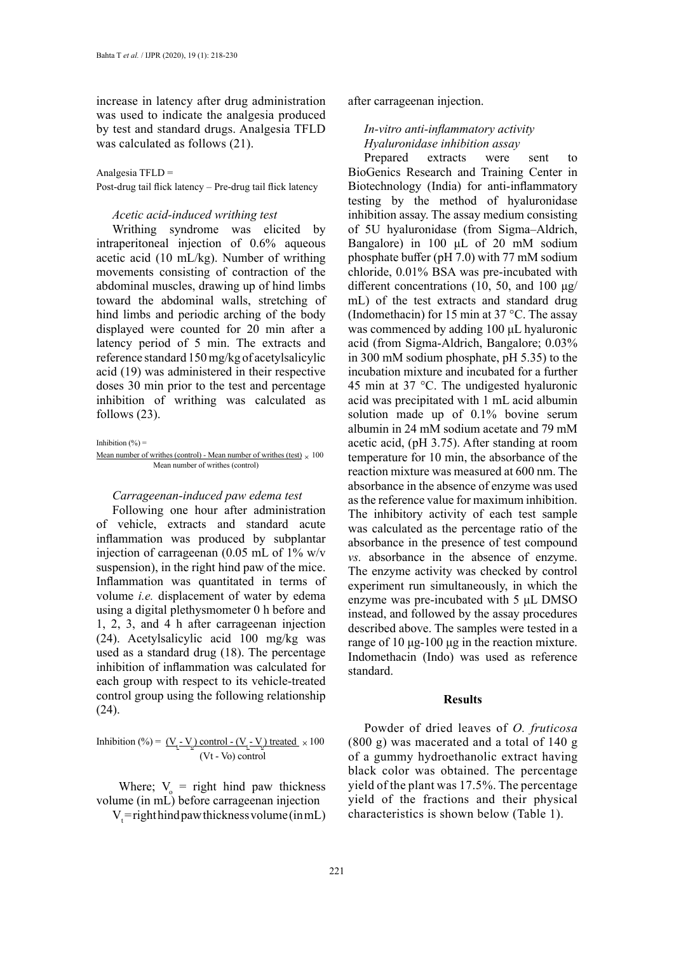increase in latency after drug administration was used to indicate the analgesia produced by test and standard drugs. Analgesia TFLD was calculated as follows (21).

Analgesia TFLD =

Post-drug tail flick latency – Pre-drug tail flick latency

# *Acetic acid-induced writhing test*

Writhing syndrome was elicited by intraperitoneal injection of 0.6% aqueous acetic acid (10 mL/kg). Number of writhing movements consisting of contraction of the abdominal muscles, drawing up of hind limbs toward the abdominal walls, stretching of hind limbs and periodic arching of the body displayed were counted for 20 min after a latency period of 5 min. The extracts and reference standard 150 mg/kg of acetylsalicylic acid (19) was administered in their respective doses 30 min prior to the test and percentage inhibition of writhing was calculated as follows (23).

Inhibition  $(% )$  =

Mean number of writings (control) - Mean number of writings (test) 
$$
\times
$$
 100 Mean number of writings (control)

### *Carrageenan-induced paw edema test*

Following one hour after administration of vehicle, extracts and standard acute inflammation was produced by subplantar injection of carrageenan (0.05 mL of 1% w/v suspension), in the right hind paw of the mice. Inflammation was quantitated in terms of volume *i.e.* displacement of water by edema using a digital plethysmometer 0 h before and 1, 2, 3, and 4 h after carrageenan injection (24). Acetylsalicylic acid 100 mg/kg was used as a standard drug (18). The percentage inhibition of inflammation was calculated for each group with respect to its vehicle-treated control group using the following relationship (24).

Inhibition (%) =  $(\underline{V}_t - \underline{V}_0)$  control -  $(\underline{V}_t - \underline{V}_0)$  treated  $\times 100$ (Vt - Vo) control

Where;  $V_0$  = right hind paw thickness volume (in mL) before carrageenan injection

 $V_t$ =right hind paw thickness volume (in mL)

after carrageenan injection.

# *In-vitro anti-inflammatory activity Hyaluronidase inhibition assay*

Prepared extracts were sent to BioGenics Research and Training Center in Biotechnology (India) for anti-inflammatory testing by the method of hyaluronidase inhibition assay. The assay medium consisting of 5U hyaluronidase (from Sigma–Aldrich, Bangalore) in 100 μL of 20 mM sodium phosphate buffer (pH 7.0) with 77 mM sodium chloride, 0.01% BSA was pre-incubated with different concentrations (10, 50, and 100 μg/ mL) of the test extracts and standard drug (Indomethacin) for 15 min at 37 °C. The assay was commenced by adding 100 μL hyaluronic acid (from Sigma-Aldrich, Bangalore; 0.03% in 300 mM sodium phosphate, pH 5.35) to the incubation mixture and incubated for a further 45 min at 37 °C. The undigested hyaluronic acid was precipitated with 1 mL acid albumin solution made up of 0.1% bovine serum albumin in 24 mM sodium acetate and 79 mM acetic acid, (pH 3.75). After standing at room temperature for 10 min, the absorbance of the reaction mixture was measured at 600 nm. The absorbance in the absence of enzyme was used as the reference value for maximum inhibition. The inhibitory activity of each test sample was calculated as the percentage ratio of the absorbance in the presence of test compound *vs.* absorbance in the absence of enzyme. The enzyme activity was checked by control experiment run simultaneously, in which the enzyme was pre-incubated with 5 μL DMSO instead, and followed by the assay procedures described above. The samples were tested in a range of 10 μg-100 μg in the reaction mixture. Indomethacin (Indo) was used as reference standard.

### **Results**

Powder of dried leaves of *O. fruticosa*  (800 g) was macerated and a total of 140 g of a gummy hydroethanolic extract having black color was obtained. The percentage yield of the plant was 17.5%. The percentage yield of the fractions and their physical characteristics is shown below (Table 1).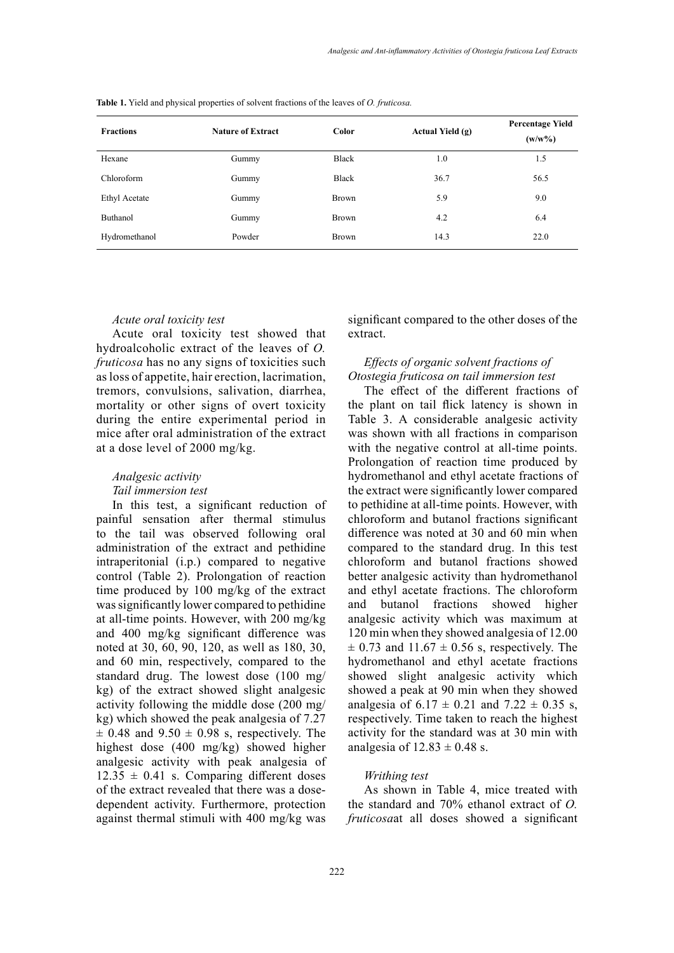| <b>Fractions</b> | <b>Nature of Extract</b> | Color        | Actual Yield (g) | <b>Percentage Yield</b><br>$(w/w\%)$ |
|------------------|--------------------------|--------------|------------------|--------------------------------------|
| Hexane           | Gummy                    | Black        | 1.0              | 1.5                                  |
| Chloroform       | Gummy                    | Black        | 36.7             | 56.5                                 |
| Ethyl Acetate    | Gummy                    | <b>Brown</b> | 5.9              | 9.0                                  |
| <b>Buthanol</b>  | Gummy                    | <b>Brown</b> | 4.2              | 6.4                                  |
| Hydromethanol    | Powder                   | Brown        | 14.3             | 22.0                                 |

**Table 1.** Yield and physical properties of solvent fractions of the leaves of *O. fruticosa.* **Table 1.** Yield and physical properties of solvent fractions of the leaves of *O. fruticosa.*

### *Acute oral toxicity test*

Acute oral toxicity test showed that hydroalcoholic extract of the leaves of *O. fruticosa* has no any signs of toxicities such as loss of appetite, hair erection, lacrimation, tremors, convulsions, salivation, diarrhea, mortality or other signs of overt toxicity during the entire experimental period in mice after oral administration of the extract at a dose level of 2000 mg/kg.

# *Analgesic activity*

# *Tail immersion test*

In this test, a significant reduction of painful sensation after thermal stimulus to the tail was observed following oral administration of the extract and pethidine intraperitonial (i.p.) compared to negative control (Table 2). Prolongation of reaction time produced by 100 mg/kg of the extract was significantly lower compared to pethidine at all-time points. However, with 200 mg/kg and 400 mg/kg significant difference was noted at 30, 60, 90, 120, as well as 180, 30, and 60 min, respectively, compared to the standard drug. The lowest dose (100 mg/ kg) of the extract showed slight analgesic activity following the middle dose (200 mg/ kg) which showed the peak analgesia of 7.27  $\pm$  0.48 and 9.50  $\pm$  0.98 s, respectively. The highest dose (400 mg/kg) showed higher analgesic activity with peak analgesia of  $12.35 \pm 0.41$  s. Comparing different doses of the extract revealed that there was a dosedependent activity. Furthermore, protection against thermal stimuli with 400 mg/kg was

significant compared to the other doses of the extract.

# *Effects of organic solvent fractions of Otostegia fruticosa on tail immersion test*

The effect of the different fractions of the plant on tail flick latency is shown in Table 3. A considerable analgesic activity was shown with all fractions in comparison with the negative control at all-time points. Prolongation of reaction time produced by hydromethanol and ethyl acetate fractions of the extract were significantly lower compared to pethidine at all-time points. However, with chloroform and butanol fractions significant difference was noted at 30 and 60 min when compared to the standard drug. In this test chloroform and butanol fractions showed better analgesic activity than hydromethanol and ethyl acetate fractions. The chloroform and butanol fractions showed higher analgesic activity which was maximum at 120 min when they showed analgesia of 12.00  $\pm$  0.73 and 11.67  $\pm$  0.56 s, respectively. The hydromethanol and ethyl acetate fractions showed slight analgesic activity which showed a peak at 90 min when they showed analgesia of  $6.17 \pm 0.21$  and  $7.22 \pm 0.35$  s, respectively. Time taken to reach the highest activity for the standard was at 30 min with analgesia of  $12.83 \pm 0.48$  s.

# *Writhing test*

As shown in Table 4, mice treated with the standard and 70% ethanol extract of *O. fruticosa*at all doses showed a significant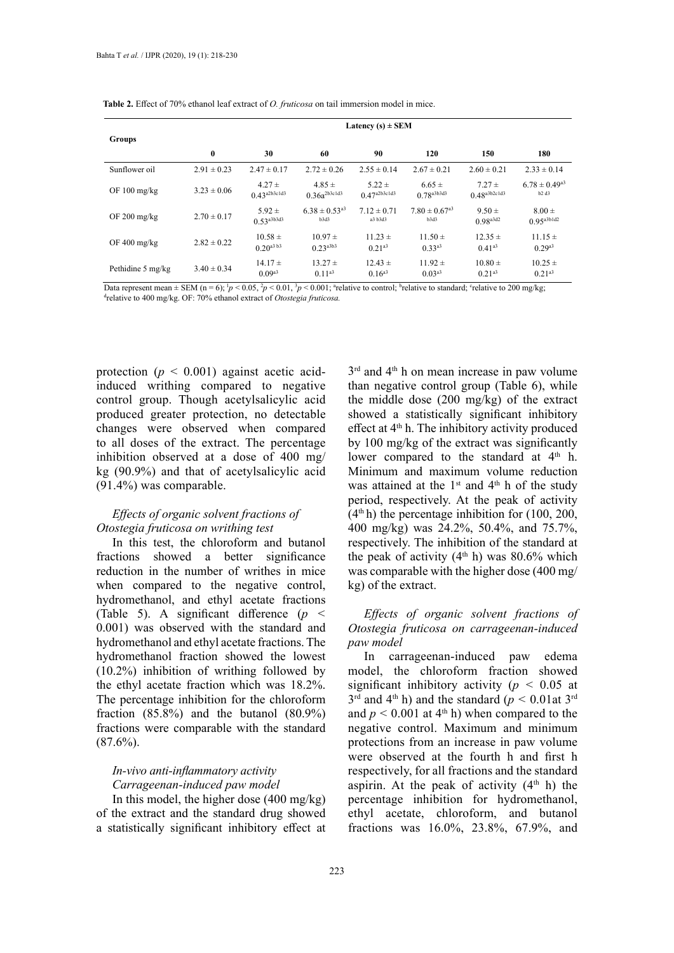|                        | Latency $(s) \pm SEM$ |                                 |                                       |                                 |                                       |                                 |                                       |  |  |  |
|------------------------|-----------------------|---------------------------------|---------------------------------------|---------------------------------|---------------------------------------|---------------------------------|---------------------------------------|--|--|--|
| <b>Groups</b>          | $\bf{0}$              | 30                              | 60                                    | 90                              | 120                                   | 150                             | 180                                   |  |  |  |
| Sunflower oil          | $2.91 \pm 0.23$       | $2.47 \pm 0.17$                 | $2.72 \pm 0.26$                       | $2.55 \pm 0.14$                 | $2.67 \pm 0.21$                       | $2.60 \pm 0.21$                 | $2.33 \pm 0.14$                       |  |  |  |
| OF $100 \text{ mg/kg}$ | $3.23 \pm 0.06$       | $4.27 \pm$<br>$0.43^{a2b3c1d3}$ | $4.85 \pm$<br>$0.36a^{2b3c1d3}$       | $5.22 \pm$<br>$0.47^{a2b3c1d3}$ | $6.65 \pm$<br>$0.78^{a3b3d3}$         | $7.27 \pm$<br>$0.48^{a3b2c1d3}$ | $6.78 \pm 0.49$ <sup>a3</sup><br>b2d3 |  |  |  |
| OF $200 \text{ mg/kg}$ | $2.70 \pm 0.17$       | $5.92 \pm$<br>$0.53^{a3b3d3}$   | $6.38 \pm 0.53$ <sup>a3</sup><br>b3d3 | $7.12 \pm 0.71$<br>a3 b3d3      | $7.80 \pm 0.67$ <sup>a3</sup><br>b3d3 | $9.50 \pm$<br>$0.98^{a3d2}$     | $8.00 \pm$<br>$0.95^{a3b1d2}$         |  |  |  |
| OF $400 \text{ mg/kg}$ | $2.82 \pm 0.22$       | $10.58 \pm$<br>$0.20^{a3 b3}$   | $10.97 \pm$<br>$0.23a^{3b}$           | $11.23 \pm$<br>$0.21^{a3}$      | $11.50 \pm$<br>$0.33a^{3}$            | $12.35 \pm$<br>$0.41^{a3}$      | $11.15 \pm$<br>$0.29^{a3}$            |  |  |  |
| Pethidine 5 mg/kg      | $3.40 \pm 0.34$       | $14.17 \pm$<br>$0.09^{a3}$      | $13.27 \pm$<br>$0.11^{a3}$            | $12.43 \pm$<br>$0.16^{a3}$      | $11.92 \pm$<br>$0.03^{a3}$            | $10.80 \pm$<br>$0.21^{a3}$      | $10.25 \pm$<br>$0.21^{a3}$            |  |  |  |

**Table 2.** Effect of 70% ethanol leaf extract of *O. fruticosa* on tail immersion model in mice. **Table 2.** Effect of 70% ethanol leaf extract of *O. fruticosa* on tail immersion model in mice.

Data represent mean  $\pm$  SEM (n = 6);  ${}^{1}p$  < 0.05,  ${}^{2}p$  < 0.01,  ${}^{3}p$  < 0.001;  ${}^{3}$ relative to control;  ${}^{b}$ relative to standard;  ${}^{c}$ relative to 200 mg/kg;  ${}^{d}$ <br> ${}^{d}$ relative to 400 mg/kg. OE: 70% ethano relative to 400 mg/kg. OF: 70% ethanol extract of *Otostegia fruticosa.*

protection  $(p < 0.001)$  against acetic acidinduced writhing compared to negative control group. Though acetylsalicylic acid produced greater protection, no detectable changes were observed when compared to all doses of the extract. The percentage inhibition observed at a dose of 400 mg/ kg (90.9%) and that of acetylsalicylic acid (91.4%) was comparable.

# *Effects of organic solvent fractions of Otostegia fruticosa on writhing test*

In this test, the chloroform and butanol fractions showed a better significance reduction in the number of writhes in mice when compared to the negative control, hydromethanol, and ethyl acetate fractions (Table 5). A significant difference (*p <*  0.001) was observed with the standard and hydromethanol and ethyl acetate fractions. The hydromethanol fraction showed the lowest (10.2%) inhibition of writhing followed by the ethyl acetate fraction which was 18.2%. The percentage inhibition for the chloroform fraction (85.8%) and the butanol (80.9%) fractions were comparable with the standard  $(87.6\%)$ .

# *In-vivo anti-inflammatory activity Carrageenan-induced paw model*

In this model, the higher dose  $(400 \text{ mg/kg})$ of the extract and the standard drug showed a statistically significant inhibitory effect at  $3<sup>rd</sup>$  and 4<sup>th</sup> h on mean increase in paw volume than negative control group (Table 6), while the middle dose (200 mg/kg) of the extract showed a statistically significant inhibitory effect at 4th h. The inhibitory activity produced by 100 mg/kg of the extract was significantly lower compared to the standard at  $4<sup>th</sup>$  h. Minimum and maximum volume reduction was attained at the  $1<sup>st</sup>$  and  $4<sup>th</sup>$  h of the study period, respectively. At the peak of activity  $(4<sup>th</sup> h)$  the percentage inhibition for (100, 200, 400 mg/kg) was 24.2%, 50.4%, and 75.7%, respectively. The inhibition of the standard at the peak of activity  $(4<sup>th</sup> h)$  was 80.6% which was comparable with the higher dose (400 mg/ kg) of the extract.

*Effects of organic solvent fractions of Otostegia fruticosa on carrageenan-induced paw model*

In carrageenan-induced paw edema model, the chloroform fraction showed significant inhibitory activity ( $p < 0.05$  at  $3<sup>rd</sup>$  and 4<sup>th</sup> h) and the standard ( $p < 0.01$  at  $3<sup>rd</sup>$ and  $p < 0.001$  at 4<sup>th</sup> h) when compared to the negative control. Maximum and minimum protections from an increase in paw volume were observed at the fourth h and first h respectively, for all fractions and the standard aspirin. At the peak of activity  $(4<sup>th</sup> h)$  the percentage inhibition for hydromethanol, ethyl acetate, chloroform, and butanol fractions was 16.0%, 23.8%, 67.9%, and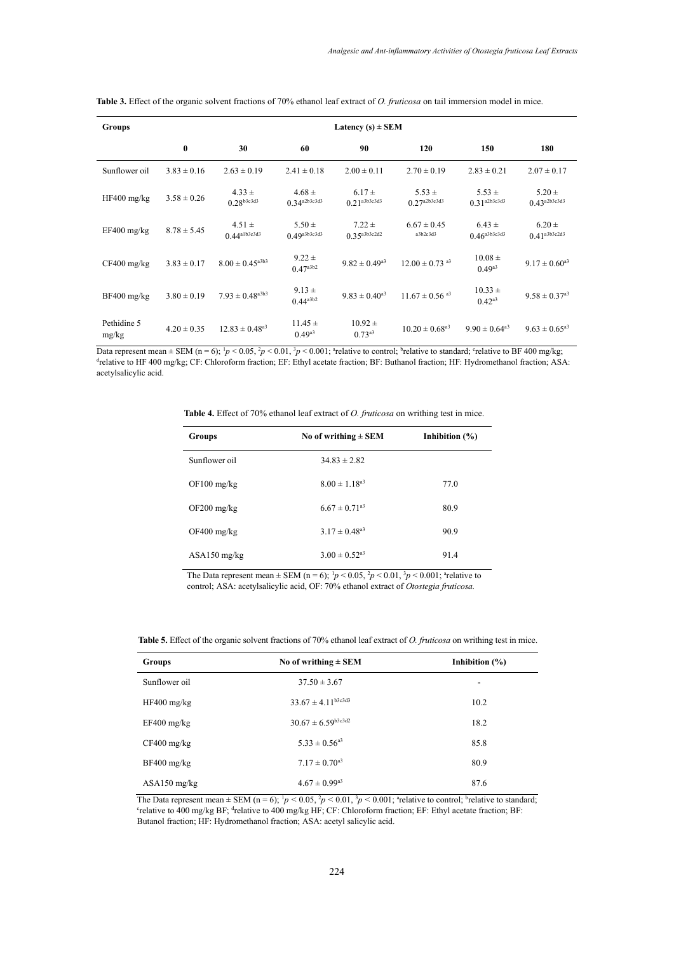| <b>Groups</b>        |                 |                                 |                                 | Latency $(s) \pm$ SEM           |                                 |                                 |                                 |
|----------------------|-----------------|---------------------------------|---------------------------------|---------------------------------|---------------------------------|---------------------------------|---------------------------------|
|                      | $\bf{0}$        | 30                              | 60                              | 90                              | 120                             | 150                             | 180                             |
| Sunflower oil        | $3.83 \pm 0.16$ | $2.63 \pm 0.19$                 | $2.41 \pm 0.18$                 | $2.00 \pm 0.11$                 | $2.70 \pm 0.19$                 | $2.83 \pm 0.21$                 | $2.07 \pm 0.17$                 |
| $HF400$ mg/kg        | $3.58 \pm 0.26$ | $4.33 \pm$<br>$0.28^{b3c3d3}$   | $4.68 \pm$<br>$0.34^{a2b3c3d3}$ | $6.17 \pm$<br>$0.21^{a3b3c3d3}$ | $5.53 \pm$<br>$0.27^{a2b3c3d3}$ | $5.53 \pm$<br>$0.31^{a2b3c3d3}$ | $5.20 \pm$<br>$0.43^{a2b3c3d3}$ |
| $EF400$ mg/kg        | $8.78 \pm 5.45$ | $4.51 \pm$<br>$0.44^{a1b3c3d3}$ | $5.50 \pm$<br>$0.49^{a3b3c3d3}$ | $7.22 \pm$<br>$0.35^{a3b3c2d2}$ | $6.67 \pm 0.45$<br>a3b2c3d3     | $6.43 \pm$<br>$0.46^{a3b3c3d3}$ | $6.20 \pm$<br>$0.41^{a3b3c2d3}$ |
| $CF400$ mg/kg        | $3.83 \pm 0.17$ | $8.00 \pm 0.45^{\text{a3b3}}$   | $9.22 \pm$<br>$0.47^{a3b2}$     | $9.82 \pm 0.49$ <sup>a3</sup>   | $12.00 \pm 0.73$ as             | $10.08 \pm$<br>$0.49^{a3}$      | $9.17 \pm 0.60$ <sup>a3</sup>   |
| $BF400$ mg/kg        | $3.80 \pm 0.19$ | $7.93 \pm 0.48$ <sup>a3b3</sup> | $9.13 \pm$<br>$0.44^{a3b2}$     | $9.83 \pm 0.40^{\text{a}3}$     | $11.67 \pm 0.56$ <sup>a3</sup>  | $10.33 \pm$<br>$0.42^{a3}$      | $9.58 \pm 0.37$ <sup>a3</sup>   |
| Pethidine 5<br>mg/kg | $4.20 \pm 0.35$ | $12.83 \pm 0.48$ <sup>a3</sup>  | $11.45 \pm$<br>$0.49^{a3}$      | $10.92 \pm$<br>0.73a3           | $10.20 \pm 0.68$ <sup>a3</sup>  | $9.90 \pm 0.64$ <sup>a3</sup>   | $9.63 \pm 0.65$ <sup>a3</sup>   |

Table 3. Effect of the organic solvent fractions of 70% ethanol leaf extract of *O. fruticosa* on tail immersion model in mice.

Data represent mean  $\pm$  SEM (n = 6);  ${}^{1}p$  < 0.05,  ${}^{2}p$  < 0.01,  ${}^{3}p$  < 0.001; <sup>a</sup>relative to control; <sup>b</sup>relative to standard; <sup>c</sup>relative to BF 400 mg/kg;<br><sup>d</sup>relative to HE 400 mg/kg; CE; Chloroform fraction; EE relative to HF 400 mg/kg; CF: Chloroform fraction; EF: Ethyl acetate fraction; BF: Buthanol fraction; HF: Hydromethanol fraction; ASA: acetylsalicylic acid.

| <b>Table 4.</b> Effect of 70% ethanol leaf extract of <i>O. fruticosa</i> on writhing test in mice. |  |
|-----------------------------------------------------------------------------------------------------|--|
|-----------------------------------------------------------------------------------------------------|--|

| Groups         | No of writhing $\pm$ SEM      | Inhibition $(\% )$ |
|----------------|-------------------------------|--------------------|
| Sunflower oil  | $34.83 \pm 2.82$              |                    |
| $OF100$ mg/kg  | $8.00 \pm 1.18$ <sup>a3</sup> | 77.0               |
| $OF200$ mg/kg  | $6.67 \pm 0.71$ <sup>a3</sup> | 80.9               |
| $OF400$ mg/kg  | $3.17 \pm 0.48$ <sup>a3</sup> | 90.9               |
| $ASA150$ mg/kg | $3.00 \pm 0.52$ <sup>a3</sup> | 91.4               |

The Data represent mean  $\pm$  SEM (n = 6);  ${}^{1}p$  < 0.05,  ${}^{2}p$  < 0.01,  ${}^{3}p$  < 0.001;  ${}^{4}$ relative to control; ASA: acetylsalicylic acid, OF: 70% ethanol extract of *Otostegia fruticosa.*

| Groups         | No of writhing $\pm$ SEM      | Inhibition $(\% )$       |
|----------------|-------------------------------|--------------------------|
| Sunflower oil  | $37.50 \pm 3.67$              | $\overline{\phantom{a}}$ |
| $HF400$ mg/kg  | $33.67 \pm 4.11^{b3c3d3}$     | 10.2                     |
| $EF400$ mg/kg  | $30.67 \pm 6.59^{b3c3d2}$     | 18.2                     |
| $CF400$ mg/kg  | $5.33 \pm 0.56$ <sup>a3</sup> | 85.8                     |
| $BF400$ mg/kg  | $7.17 \pm 0.70^{a3}$          | 80.9                     |
| $ASA150$ mg/kg | $4.67 \pm 0.99$ <sup>a3</sup> | 87.6                     |

The Data represent mean  $\pm$  SEM (n = 6);  ${}^{1}p$  < 0.05,  ${}^{2}p$  < 0.01,  ${}^{3}p$  < 0.001;  ${}^{3}$ relative to control;  ${}^{3}$ relative to standard;<br>
<sup>c</sup>relative to 400 mg/kg BE; strelative to 400 mg/kg HE; CE; Chloroform fr relative to 400 mg/kg BF; <sup>d</sup>relative to 400 mg/kg HF; CF: Chloroform fraction; EF: Ethyl acetate fraction; BF: Butanol fraction; HF: Hydromethanol fraction; ASA: acetyl salicylic acid.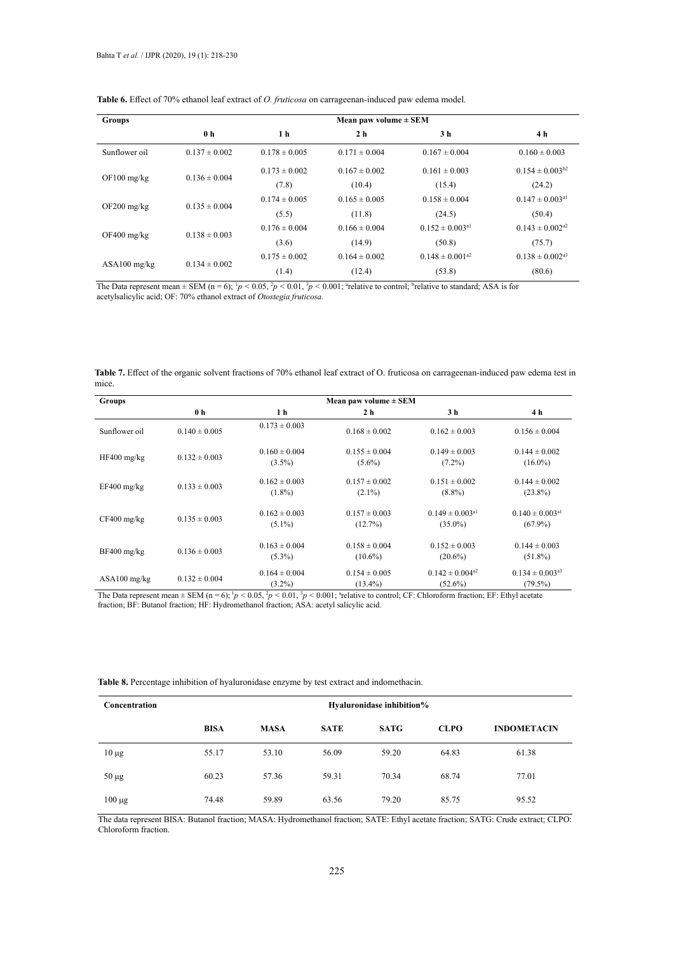| <b>Groups</b>  | Mean paw volume $\pm$ SEM |                   |                   |                                 |                                 |  |  |  |  |
|----------------|---------------------------|-------------------|-------------------|---------------------------------|---------------------------------|--|--|--|--|
|                | 0 <sub>h</sub>            | 1 <sub>h</sub>    | 2 <sub>h</sub>    | 3 h                             | 4 h                             |  |  |  |  |
| Sunflower oil  | $0.137 \pm 0.002$         | $0.178 \pm 0.005$ | $0.171 \pm 0.004$ | $0.167 \pm 0.004$               | $0.160 \pm 0.003$               |  |  |  |  |
| $OF100$ mg/kg  | $0.136 \pm 0.004$         | $0.173 \pm 0.002$ | $0.167 \pm 0.002$ | $0.161 \pm 0.003$               | $0.154 \pm 0.003^{b2}$          |  |  |  |  |
|                |                           | (7.8)             | (10.4)            | (15.4)                          | (24.2)                          |  |  |  |  |
|                | $0.135 \pm 0.004$         | $0.174 \pm 0.005$ | $0.165 \pm 0.005$ | $0.158 \pm 0.004$               | $0.147 \pm 0.003$ <sup>a1</sup> |  |  |  |  |
| $OF200$ mg/kg  |                           | (5.5)             | (11.8)            | (24.5)                          | (50.4)                          |  |  |  |  |
|                | $0.138 \pm 0.003$         | $0.176 \pm 0.004$ | $0.166 \pm 0.004$ | $0.152 \pm 0.003$ <sup>a1</sup> | $0.143 \pm 0.002^{2}$           |  |  |  |  |
| $OF400$ mg/kg  |                           | (3.6)             | (14.9)            | (50.8)                          | (75.7)                          |  |  |  |  |
| $ASA100$ mg/kg |                           | $0.175 \pm 0.002$ | $0.164 \pm 0.002$ | $0.148 \pm 0.001^{a2}$          | $0.138 \pm 0.002^{23}$          |  |  |  |  |
|                | $0.134 \pm 0.002$         | (1.4)             | (12.4)            | (53.8)                          | (80.6)                          |  |  |  |  |

Table 6. Effect of 70% ethanol leaf extract of *O. fruticosa* on carrageenan-induced paw edema model.

The Data represent mean  $\pm$  SEM (n = 6);  ${}^{1}p$  < 0.05,  ${}^{2}p$  < 0.01,  ${}^{3}p$  < 0.001; "relative to control; "relative to standard; ASA is for acetylsalicylic acid; OF: 70% ethanol extract of *Otostegia fruticosa.*

|      |  |  | Table 7. Effect of the organic solvent fractions of 70% ethanol leaf extract of O. fruticosa on carrageenan-induced paw edema test in |  |
|------|--|--|---------------------------------------------------------------------------------------------------------------------------------------|--|
| mice |  |  |                                                                                                                                       |  |

| <b>Groups</b>  | Mean paw volume $\pm$ SEM |                                |                                 |                                               |                                               |  |  |  |  |  |
|----------------|---------------------------|--------------------------------|---------------------------------|-----------------------------------------------|-----------------------------------------------|--|--|--|--|--|
|                | 0 <sub>h</sub>            | 1 h                            | 2 <sub>h</sub>                  | 3 h                                           | 4 h                                           |  |  |  |  |  |
| Sunflower oil  | $0.140 \pm 0.005$         | $0.173 \pm 0.003$              | $0.168 \pm 0.002$               | $0.162 \pm 0.003$                             | $0.156 \pm 0.004$                             |  |  |  |  |  |
| $HF400$ mg/kg  | $0.132 \pm 0.003$         | $0.160 \pm 0.004$<br>$(3.5\%)$ | $0.155 \pm 0.004$<br>$(5.6\%)$  | $0.149 \pm 0.003$<br>$(7.2\%)$                | $0.144 \pm 0.002$<br>$(16.0\%)$               |  |  |  |  |  |
| $EF400$ mg/kg  | $0.133 \pm 0.003$         | $0.162 \pm 0.003$<br>$(1.8\%)$ | $0.157 \pm 0.002$<br>$(2.1\%)$  | $0.151 \pm 0.002$<br>$(8.8\%)$                | $0.144 \pm 0.002$<br>$(23.8\%)$               |  |  |  |  |  |
| $CF400$ mg/kg  | $0.135 \pm 0.003$         | $0.162 \pm 0.003$<br>$(5.1\%)$ | $0.157 \pm 0.003$<br>(12.7%)    | $0.149 \pm 0.003$ <sup>a1</sup><br>$(35.0\%)$ | $0.140 \pm 0.003$ <sup>a1</sup><br>$(67.9\%)$ |  |  |  |  |  |
| $BF400$ mg/kg  | $0.136 \pm 0.003$         | $0.163 \pm 0.004$<br>$(5.3\%)$ | $0.158 \pm 0.004$<br>$(10.6\%)$ | $0.152 \pm 0.003$<br>$(20.6\%)$               | $0.144 \pm 0.003$<br>$(51.8\%)$               |  |  |  |  |  |
| $ASA100$ mg/kg | $0.132 \pm 0.004$         | $0.164 \pm 0.004$<br>$(3.2\%)$ | $0.154 \pm 0.005$<br>$(13.4\%)$ | $0.142 \pm 0.004^{2}$<br>$(52.6\%)$           | $0.134 \pm 0.003^{a3}$<br>$(79.5\%)$          |  |  |  |  |  |

The Data represent mean  $\pm$  SEM (n = 6);  $\frac{1}{p}$  < 0.05,  $\frac{2}{p}$  < 0.01,  $\frac{3}{p}$  < 0.001; arelative to control; CF: Chloroform fraction; EF: Ethyl acetate fraction; BF: Butanol fraction; HF: Hydromethanol fraction; ASA: acetyl salicylic acid.

| Table 8. Percentage inhibition of hyaluronidase enzyme by test extract and indomethacin. |  |  |  |  |  |
|------------------------------------------------------------------------------------------|--|--|--|--|--|
|                                                                                          |  |  |  |  |  |
|                                                                                          |  |  |  |  |  |

| Concentration | Hyaluronidase inhibition% |             |             |             |             |                    |  |  |  |
|---------------|---------------------------|-------------|-------------|-------------|-------------|--------------------|--|--|--|
|               | <b>BISA</b>               | <b>MASA</b> | <b>SATE</b> | <b>SATG</b> | <b>CLPO</b> | <b>INDOMETACIN</b> |  |  |  |
| $10 \mu g$    | 55.17                     | 53.10       | 56.09       | 59.20       | 64.83       | 61.38              |  |  |  |
| $50 \mu g$    | 60.23                     | 57.36       | 59.31       | 70.34       | 68.74       | 77.01              |  |  |  |
| $100 \mu g$   | 74.48                     | 59.89       | 63.56       | 79.20       | 85.75       | 95.52              |  |  |  |

The data represent BISA: Butanol fraction; MASA: Hydromethanol fraction; SATE: Ethyl acetate fraction; SATG: Crude extract; CLPO: Chloroform fraction.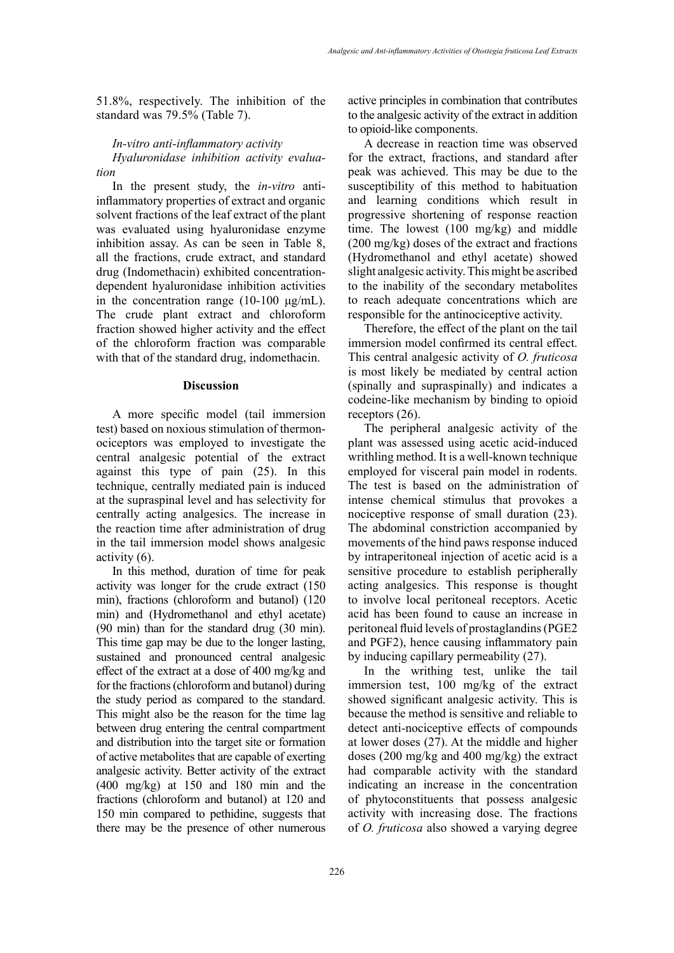51.8%, respectively. The inhibition of the standard was 79.5% (Table 7).

### *In-vitro anti-inflammatory activity*

*Hyaluronidase inhibition activity evaluation*

In the present study, the *in-vitro* antiinflammatory properties of extract and organic solvent fractions of the leaf extract of the plant was evaluated using hyaluronidase enzyme inhibition assay. As can be seen in Table 8, all the fractions, crude extract, and standard drug (Indomethacin) exhibited concentrationdependent hyaluronidase inhibition activities in the concentration range (10-100  $\mu$ g/mL). The crude plant extract and chloroform fraction showed higher activity and the effect of the chloroform fraction was comparable with that of the standard drug, indomethacin.

#### **Discussion**

A more specific model (tail immersion test) based on noxious stimulation of thermonociceptors was employed to investigate the central analgesic potential of the extract against this type of pain (25). In this technique, centrally mediated pain is induced at the supraspinal level and has selectivity for centrally acting analgesics. The increase in the reaction time after administration of drug in the tail immersion model shows analgesic activity (6).

In this method, duration of time for peak activity was longer for the crude extract (150 min), fractions (chloroform and butanol) (120 min) and (Hydromethanol and ethyl acetate) (90 min) than for the standard drug (30 min). This time gap may be due to the longer lasting, sustained and pronounced central analgesic effect of the extract at a dose of 400 mg/kg and for the fractions (chloroform and butanol) during the study period as compared to the standard. This might also be the reason for the time lag between drug entering the central compartment and distribution into the target site or formation of active metabolites that are capable of exerting analgesic activity. Better activity of the extract (400 mg/kg) at 150 and 180 min and the fractions (chloroform and butanol) at 120 and 150 min compared to pethidine, suggests that there may be the presence of other numerous

active principles in combination that contributes to the analgesic activity of the extract in addition to opioid-like components.

A decrease in reaction time was observed for the extract, fractions, and standard after peak was achieved. This may be due to the susceptibility of this method to habituation and learning conditions which result in progressive shortening of response reaction time. The lowest (100 mg/kg) and middle (200 mg/kg) doses of the extract and fractions (Hydromethanol and ethyl acetate) showed slight analgesic activity. This might be ascribed to the inability of the secondary metabolites to reach adequate concentrations which are responsible for the antinociceptive activity.

Therefore, the effect of the plant on the tail immersion model confirmed its central effect. This central analgesic activity of *O. fruticosa* is most likely be mediated by central action (spinally and supraspinally) and indicates a codeine-like mechanism by binding to opioid receptors (26).

The peripheral analgesic activity of the plant was assessed using acetic acid-induced writhling method. It is a well-known technique employed for visceral pain model in rodents. The test is based on the administration of intense chemical stimulus that provokes a nociceptive response of small duration (23). The abdominal constriction accompanied by movements of the hind paws response induced by intraperitoneal injection of acetic acid is a sensitive procedure to establish peripherally acting analgesics. This response is thought to involve local peritoneal receptors. Acetic acid has been found to cause an increase in peritoneal fluid levels of prostaglandins (PGE2 and PGF2), hence causing inflammatory pain by inducing capillary permeability (27).

In the writhing test, unlike the tail immersion test, 100 mg/kg of the extract showed significant analgesic activity. This is because the method is sensitive and reliable to detect anti-nociceptive effects of compounds at lower doses (27). At the middle and higher doses (200 mg/kg and 400 mg/kg) the extract had comparable activity with the standard indicating an increase in the concentration of phytoconstituents that possess analgesic activity with increasing dose. The fractions of *O. fruticosa* also showed a varying degree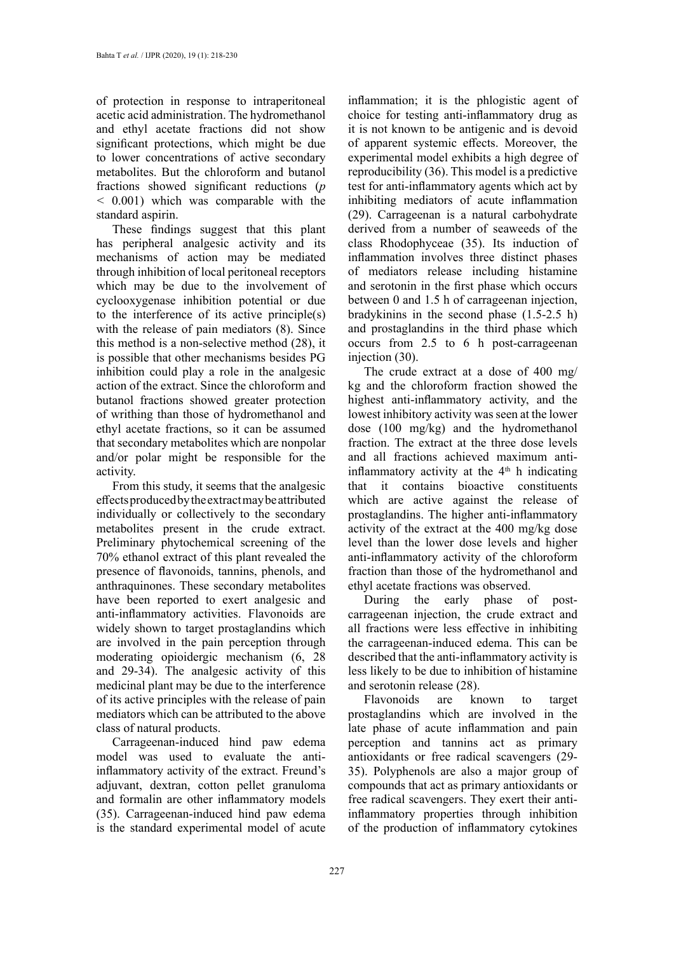of protection in response to intraperitoneal acetic acid administration. The hydromethanol and ethyl acetate fractions did not show significant protections, which might be due to lower concentrations of active secondary metabolites. But the chloroform and butanol fractions showed significant reductions (*p <* 0.001) which was comparable with the standard aspirin.

These findings suggest that this plant has peripheral analgesic activity and its mechanisms of action may be mediated through inhibition of local peritoneal receptors which may be due to the involvement of cyclooxygenase inhibition potential or due to the interference of its active principle(s) with the release of pain mediators (8). Since this method is a non-selective method (28), it is possible that other mechanisms besides PG inhibition could play a role in the analgesic action of the extract. Since the chloroform and butanol fractions showed greater protection of writhing than those of hydromethanol and ethyl acetate fractions, so it can be assumed that secondary metabolites which are nonpolar and/or polar might be responsible for the activity.

From this study, it seems that the analgesic effects produced by the extract may be attributed individually or collectively to the secondary metabolites present in the crude extract. Preliminary phytochemical screening of the 70% ethanol extract of this plant revealed the presence of flavonoids, tannins, phenols, and anthraquinones. These secondary metabolites have been reported to exert analgesic and anti-inflammatory activities. Flavonoids are widely shown to target prostaglandins which are involved in the pain perception through moderating opioidergic mechanism (6, 28 and 29-34). The analgesic activity of this medicinal plant may be due to the interference of its active principles with the release of pain mediators which can be attributed to the above class of natural products.

Carrageenan-induced hind paw edema model was used to evaluate the antiinflammatory activity of the extract. Freund's adjuvant, dextran, cotton pellet granuloma and formalin are other inflammatory models (35). Carrageenan-induced hind paw edema is the standard experimental model of acute

inflammation; it is the phlogistic agent of choice for testing anti-inflammatory drug as it is not known to be antigenic and is devoid of apparent systemic effects. Moreover, the experimental model exhibits a high degree of reproducibility (36). This model is a predictive test for anti-inflammatory agents which act by inhibiting mediators of acute inflammation (29). Carrageenan is a natural carbohydrate derived from a number of seaweeds of the class Rhodophyceae (35). Its induction of inflammation involves three distinct phases of mediators release including histamine and serotonin in the first phase which occurs between 0 and 1.5 h of carrageenan injection, bradykinins in the second phase (1.5-2.5 h) and prostaglandins in the third phase which occurs from 2.5 to 6 h post-carrageenan injection (30).

The crude extract at a dose of 400 mg/ kg and the chloroform fraction showed the highest anti-inflammatory activity, and the lowest inhibitory activity was seen at the lower dose (100 mg/kg) and the hydromethanol fraction. The extract at the three dose levels and all fractions achieved maximum antiinflammatory activity at the  $4<sup>th</sup>$  h indicating that it contains bioactive constituents which are active against the release of prostaglandins. The higher anti-inflammatory activity of the extract at the 400 mg/kg dose level than the lower dose levels and higher anti-inflammatory activity of the chloroform fraction than those of the hydromethanol and ethyl acetate fractions was observed.

During the early phase of postcarrageenan injection, the crude extract and all fractions were less effective in inhibiting the carrageenan-induced edema. This can be described that the anti-inflammatory activity is less likely to be due to inhibition of histamine and serotonin release (28).

Flavonoids are known to target prostaglandins which are involved in the late phase of acute inflammation and pain perception and tannins act as primary antioxidants or free radical scavengers (29- 35). Polyphenols are also a major group of compounds that act as primary antioxidants or free radical scavengers. They exert their antiinflammatory properties through inhibition of the production of inflammatory cytokines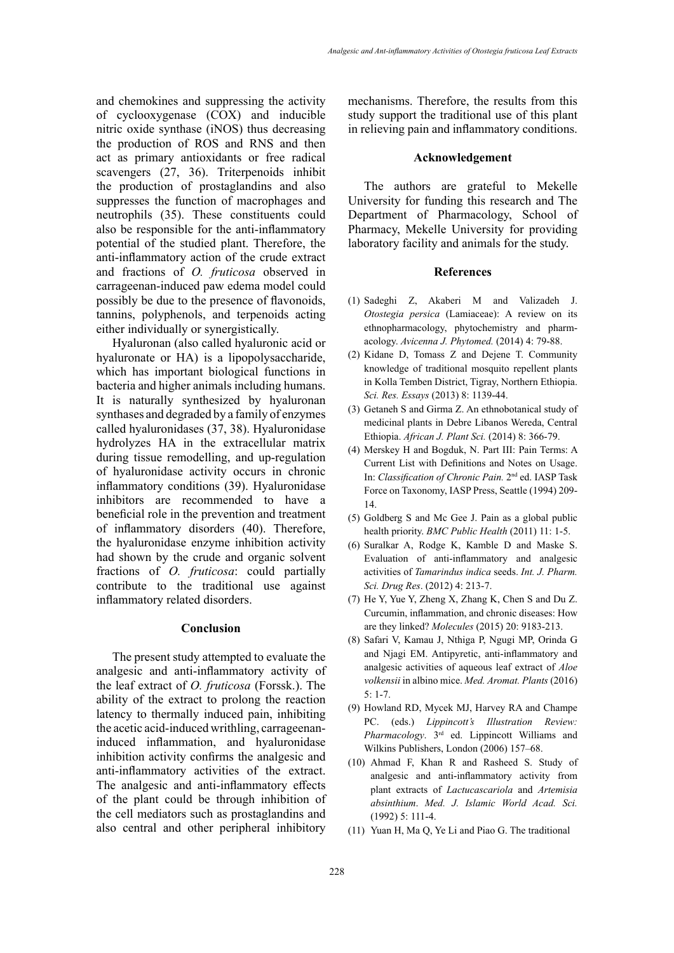and chemokines and suppressing the activity of cyclooxygenase (COX) and inducible nitric oxide synthase (iNOS) thus decreasing the production of ROS and RNS and then act as primary antioxidants or free radical scavengers (27, 36). Triterpenoids inhibit the production of prostaglandins and also suppresses the function of macrophages and neutrophils (35). These constituents could also be responsible for the anti-inflammatory potential of the studied plant. Therefore, the anti-inflammatory action of the crude extract and fractions of *O. fruticosa* observed in carrageenan-induced paw edema model could possibly be due to the presence of flavonoids, tannins, polyphenols, and terpenoids acting either individually or synergistically.

Hyaluronan (also called hyaluronic acid or hyaluronate or HA) is a lipopolysaccharide, which has important biological functions in bacteria and higher animals including humans. It is naturally synthesized by hyaluronan synthases and degraded by a family of enzymes called hyaluronidases (37, 38). Hyaluronidase hydrolyzes HA in the extracellular matrix during tissue remodelling, and up-regulation of hyaluronidase activity occurs in chronic inflammatory conditions (39). Hyaluronidase inhibitors are recommended to have a beneficial role in the prevention and treatment of inflammatory disorders (40). Therefore, the hyaluronidase enzyme inhibition activity had shown by the crude and organic solvent fractions of *O. fruticosa*: could partially contribute to the traditional use against inflammatory related disorders.

### **Conclusion**

The present study attempted to evaluate the analgesic and anti-inflammatory activity of the leaf extract of *O. fruticosa* (Forssk.). The ability of the extract to prolong the reaction latency to thermally induced pain, inhibiting the acetic acid-induced writhling, carrageenaninduced inflammation, and hyaluronidase inhibition activity confirms the analgesic and anti-inflammatory activities of the extract. The analgesic and anti-inflammatory effects of the plant could be through inhibition of the cell mediators such as prostaglandins and also central and other peripheral inhibitory

mechanisms. Therefore, the results from this study support the traditional use of this plant in relieving pain and inflammatory conditions.

### **Acknowledgement**

The authors are grateful to Mekelle University for funding this research and The Department of Pharmacology, School of Pharmacy, Mekelle University for providing laboratory facility and animals for the study.

#### **References**

- (1) Sadeghi Z, Akaberi M and Valizadeh J. *Otostegia persica* (Lamiaceae): A review on its ethnopharmacology, phytochemistry and pharmacology. *Avicenna J. Phytomed.* (2014) 4: 79-88.
- (2) Kidane D, Tomass Z and Dejene T. Community knowledge of traditional mosquito repellent plants in Kolla Temben District, Tigray, Northern Ethiopia. *Sci. Res. Essays* (2013) 8: 1139-44.
- (3) Getaneh S and Girma Z. An ethnobotanical study of medicinal plants in Debre Libanos Wereda, Central Ethiopia. *African J. Plant Sci.* (2014) 8: 366-79.
- (4) Merskey H and Bogduk, N. Part III: Pain Terms: A Current List with Definitions and Notes on Usage. In: *Classification of Chronic Pain.* 2nd ed. IASP Task Force on Taxonomy, IASP Press, Seattle (1994) 209- 14.
- (5) Goldberg S and Mc Gee J. Pain as a global public health priority. *BMC Public Health* (2011) 11: 1-5.
- (6) Suralkar A, Rodge K, Kamble D and Maske S. Evaluation of anti-inflammatory and analgesic activities of *Tamarindus indica* seeds. *Int. J. Pharm. Sci. Drug Res*. (2012) 4: 213-7.
- (7) He Y, Yue Y, Zheng X, [Zhang K](https://www.ncbi.nlm.nih.gov/pubmed/?term=Zhang%20K%5BAuthor%5D&cauthor=true&cauthor_uid=26007179), [Chen S](https://www.ncbi.nlm.nih.gov/pubmed/?term=Chen%20S%5BAuthor%5D&cauthor=true&cauthor_uid=26007179) and [Du Z.](https://www.ncbi.nlm.nih.gov/pubmed/?term=Du%20Z%5BAuthor%5D&cauthor=true&cauthor_uid=26007179) Curcumin, inflammation, and chronic diseases: How are they linked? *Molecules* (2015) 20: 9183-213.
- (8) Safari V, Kamau J, Nthiga P, Ngugi MP, Orinda G and Njagi EM. Antipyretic, anti-inflammatory and analgesic activities of aqueous leaf extract of *Aloe volkensii* in albino mice. *Med. Aromat. Plants* (2016)  $5:1-7$
- (9) Howland RD, Mycek MJ, Harvey RA and Champe PC. (eds.) *Lippincott's Illustration Review: Pharmacology*. 3rd ed. Lippincott Williams and Wilkins Publishers, London (2006) 157–68.
- (10) Ahmad F, Khan R and Rasheed S. Study of analgesic and anti-inflammatory activity from plant extracts of *Lactucascariola* and *Artemisia absinthium*. *Med. J. Islamic World Acad. Sci.*  (1992) 5: 111-4.
- (11) [Yuan](https://www.ncbi.nlm.nih.gov/pubmed/?term=Yuan%20H%5BAuthor%5D&cauthor=true&cauthor_uid=27136524) H, Ma [Q,](https://www.ncbi.nlm.nih.gov/pubmed/?term=Ma%20Q%5BAuthor%5D&cauthor=true&cauthor_uid=27136524) Ye [Li](https://www.ncbi.nlm.nih.gov/pubmed/?term=Ye%20L%5BAuthor%5D&cauthor=true&cauthor_uid=27136524) and [Piao](https://www.ncbi.nlm.nih.gov/pubmed/?term=Piao%20G%5BAuthor%5D&cauthor=true&cauthor_uid=27136524) G. The traditional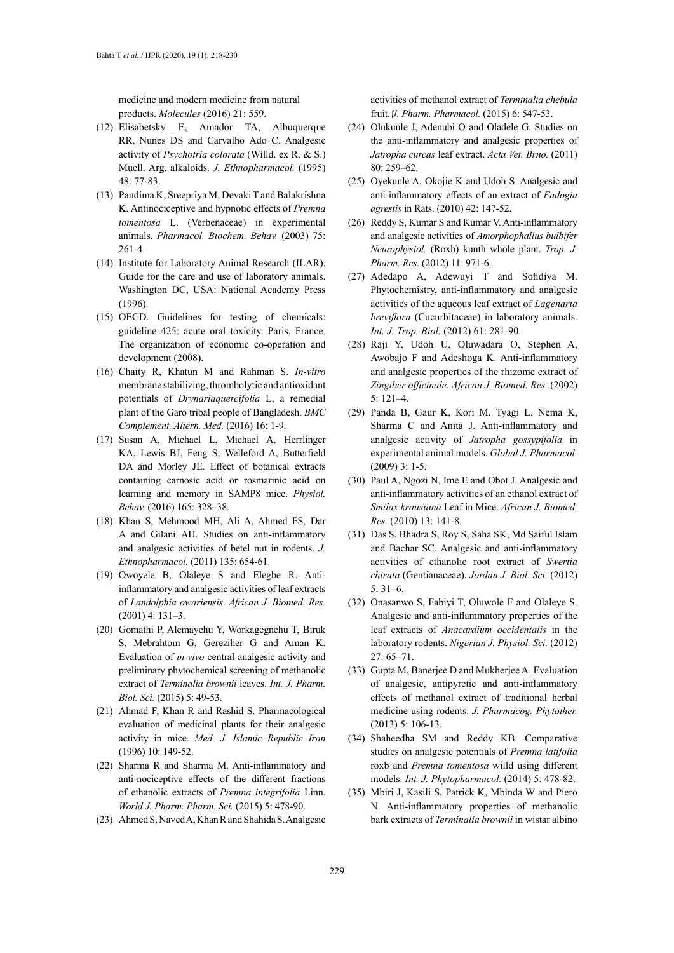medicine and modern medicine from natural products. *[Molecules](https://www.ncbi.nlm.nih.gov/pmc/articles/PMC6273146/)* (2016) 21: 559.

- (12) Elisabetsky E, Amador TA, Albuquerque RR, [Nunes DS](https://www.ncbi.nlm.nih.gov/pubmed/?term=Nunes%20DS%5BAuthor%5D&cauthor=true&cauthor_uid=8583797) and [Carvalho Ado C.](https://www.ncbi.nlm.nih.gov/pubmed/?term=Carvalho%20Ado%20C%5BAuthor%5D&cauthor=true&cauthor_uid=8583797) Analgesic activity of *Psychotria colorata* (Willd. ex R. & S.) Muell. Arg. alkaloids. *J. Ethnopharmacol.* (1995) 48: 77-83.
- (13) Pandima K, Sreepriya M, Devaki T and [Balakrishna](https://www.ncbi.nlm.nih.gov/pubmed/?term=Balakrishna%20K%5BAuthor%5D&cauthor=true&cauthor_uid=12873614)  [K](https://www.ncbi.nlm.nih.gov/pubmed/?term=Balakrishna%20K%5BAuthor%5D&cauthor=true&cauthor_uid=12873614). Antinociceptive and hypnotic effects of *Premna tomentosa* L. (Verbenaceae) in experimental animals. *Pharmacol. Biochem. Behav.* (2003) 75: 261-4.
- (14) Institute for Laboratory Animal Research (ILAR). Guide for the care and use of laboratory animals. Washington DC, USA: National Academy Press (1996).
- (15) OECD. Guidelines for testing of chemicals: guideline 425: acute oral toxicity. Paris, France. The organization of economic co-operation and development (2008).
- (16) Chaity R, Khatun M and Rahman S. *In-vitro* membrane stabilizing, thrombolytic and antioxidant potentials of *Drynariaquercifolia* L, a remedial plant of the Garo tribal people of Bangladesh. *BMC Complement. Altern. Med.* (2016) 16: 1-9.
- (17) Susan A, Michael L, Michael A, [Herrlinger](https://www.ncbi.nlm.nih.gov/pubmed/?term=Herrlinger%20KA%5BAuthor%5D&cauthor=true&cauthor_uid=27527000)  [KA,](https://www.ncbi.nlm.nih.gov/pubmed/?term=Herrlinger%20KA%5BAuthor%5D&cauthor=true&cauthor_uid=27527000) [Lewis BJ](https://www.ncbi.nlm.nih.gov/pubmed/?term=Lewis%20BJ%5BAuthor%5D&cauthor=true&cauthor_uid=27527000), [Feng S](https://www.ncbi.nlm.nih.gov/pubmed/?term=Feng%20S%5BAuthor%5D&cauthor=true&cauthor_uid=27527000), [Welleford A,](https://www.ncbi.nlm.nih.gov/pubmed/?term=Welleford%20A%5BAuthor%5D&cauthor=true&cauthor_uid=27527000) [Butterfield](https://www.ncbi.nlm.nih.gov/pubmed/?term=Butterfield%20DA%5BAuthor%5D&cauthor=true&cauthor_uid=27527000)  [DA](https://www.ncbi.nlm.nih.gov/pubmed/?term=Butterfield%20DA%5BAuthor%5D&cauthor=true&cauthor_uid=27527000) and [Morley JE](https://www.ncbi.nlm.nih.gov/pubmed/?term=Morley%20JE%5BAuthor%5D&cauthor=true&cauthor_uid=27527000). Effect of botanical extracts containing carnosic acid or rosmarinic acid on learning and memory in SAMP8 mice. *Physiol. Behav.* (2016) 165: 328–38.
- (18) Khan S, Mehmood MH, Ali A, [Ahmed FS,](https://www.ncbi.nlm.nih.gov/pubmed/?term=Ahmed%20FS%5BAuthor%5D&cauthor=true&cauthor_uid=21501676) [Dar](https://www.ncbi.nlm.nih.gov/pubmed/?term=Dar%20A%5BAuthor%5D&cauthor=true&cauthor_uid=21501676)  [A](https://www.ncbi.nlm.nih.gov/pubmed/?term=Dar%20A%5BAuthor%5D&cauthor=true&cauthor_uid=21501676) and [Gilani AH](https://www.ncbi.nlm.nih.gov/pubmed/?term=Gilani%20AH%5BAuthor%5D&cauthor=true&cauthor_uid=21501676). Studies on anti-inflammatory and analgesic activities of betel nut in rodents. *J. Ethnopharmacol.* (2011) 135: 654-61.
- (19) Owoyele B, Olaleye S and Elegbe R. Antiinflammatory and analgesic activities of leaf extracts of *Landolphia owariensis*. *African J. Biomed. Res.* (2001) 4: 131–3.
- (20) Gomathi P, Alemayehu Y, Workagegnehu T, Biruk S, Mebrahtom G, Gereziher G and Aman K. Evaluation of *in-vivo* central analgesic activity and preliminary phytochemical screening of methanolic extract of *Terminalia brownii* leaves. *Int. J. Pharm. Biol. Sci.* (2015) 5: 49-53.
- (21) Ahmad F, Khan R and Rashid S. Pharmacological evaluation of medicinal plants for their analgesic activity in mice. *Med. J. Islamic Republic Iran*  (1996) 10: 149-52.
- (22) Sharma R and Sharma M. Anti-inflammatory and anti-nociceptive effects of the different fractions of ethanolic extracts of *Premna integrifolia* Linn. *World J. Pharm. Pharm. Sci.* (2015) 5: 478-90.
- (23) Ahmed S, Naved A, Khan R and [Shahida S.](https://www.scirp.org/journal/articles.aspx?searchCode=Shahida++Siddiqui&searchField=authors&page=1) Analgesic

activities of methanol extract of *Terminalia chebula* fruit. *J. Pharm. Pharmacol.* (2015) 6: 547-53.

- (24) Olukunle J, Adenubi O and Oladele G. Studies on the anti-inflammatory and analgesic properties of *Jatropha curcas* leaf extract. *Acta Vet. Brno.* (2011) 80: 259–62.
- (25) Oyekunle A, Okojie K and Udoh S. Analgesic and anti-inflammatory effects of an extract of *Fadogia agrestis* in Rats. (2010) 42: 147-52.
- (26) Reddy S, Kumar S and Kumar V. Anti-inflammatory and analgesic activities of *Amorphophallus bulbifer Neurophysiol.* (Roxb) kunth whole plant. *Trop. J. Pharm. Res.* (2012) 11: 971-6.
- (27) Adedapo A, Adewuyi T and Sofidiya M. Phytochemistry, anti-inflammatory and analgesic activities of the aqueous leaf extract of *Lagenaria breviflora* (Cucurbitaceae) in laboratory animals. *Int. J. Trop. Biol.* (2012) 61: 281-90.
- (28) Raji Y, Udoh U, Oluwadara O, Stephen A, Awobajo F and Adeshoga K. Anti-inflammatory and analgesic properties of the rhizome extract of *Zingiber officinale*. *African J. Biomed. Res.* (2002) 5: 121–4.
- (29) Panda B, Gaur K, Kori M, Tyagi L, Nema K, Sharma C and Anita J. Anti-inflammatory and analgesic activity of *Jatropha gossypifolia* in experimental animal models. *Global J. Pharmacol.* (2009) 3: 1-5.
- (30) Paul A, Ngozi N, Ime E and Obot J. Analgesic and anti-inflammatory activities of an ethanol extract of *Smilax krausiana* Leaf in Mice. *African J. Biomed. Res.* (2010) 13: 141-8.
- (31) Das S, Bhadra S, Roy S, Saha SK, Md Saiful Islam and Bachar SC. Analgesic and anti-inflammatory activities of ethanolic root extract of *Swertia chirata* (Gentianaceae). *Jordan J. Biol. Sci.* (2012) 5: 31–6.
- (32) Onasanwo S, Fabiyi T, Oluwole F and [Olaleye S.](https://www.ncbi.nlm.nih.gov/pubmed/?term=Olaleye%20SB%5BAuthor%5D&cauthor=true&cauthor_uid=23235310) Analgesic and anti-inflammatory properties of the leaf extracts of *Anacardium occidentalis* in the laboratory rodents. *Nigerian J. Physiol. Sci.* (2012) 27: 65–71.
- (33) Gupta M, Banerjee D and Mukherjee A. Evaluation of analgesic, antipyretic and anti-inflammatory effects of methanol extract of traditional herbal medicine using rodents. *J. Pharmacog. Phytother.* (2013) 5: 106-13.
- (34) Shaheedha SM and Reddy KB. Comparative studies on analgesic potentials of *Premna latifolia* roxb and *Premna tomentosa* willd using different models. *Int. J. Phytopharmacol.* (2014) 5: 478-82.
- (35) Mbiri J, Kasili S, Patrick K, Mbinda W and Piero N. Anti-inflammatory properties of methanolic bark extracts of *Terminalia brownii* in wistar albino